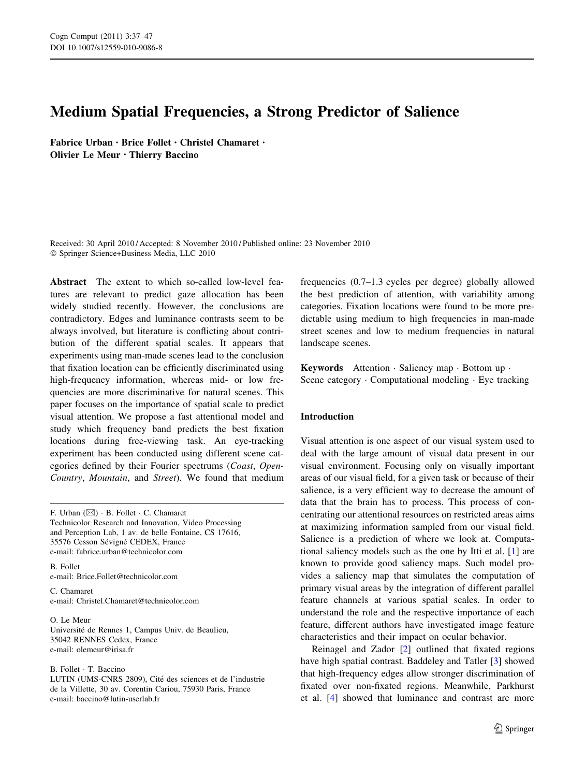# Medium Spatial Frequencies, a Strong Predictor of Salience

Fabrice Urban • Brice Follet • Christel Chamaret • Olivier Le Meur • Thierry Baccino

Received: 30 April 2010 / Accepted: 8 November 2010 / Published online: 23 November 2010 - Springer Science+Business Media, LLC 2010

Abstract The extent to which so-called low-level features are relevant to predict gaze allocation has been widely studied recently. However, the conclusions are contradictory. Edges and luminance contrasts seem to be always involved, but literature is conflicting about contribution of the different spatial scales. It appears that experiments using man-made scenes lead to the conclusion that fixation location can be efficiently discriminated using high-frequency information, whereas mid- or low frequencies are more discriminative for natural scenes. This paper focuses on the importance of spatial scale to predict visual attention. We propose a fast attentional model and study which frequency band predicts the best fixation locations during free-viewing task. An eye-tracking experiment has been conducted using different scene categories defined by their Fourier spectrums (Coast, Open-Country, Mountain, and Street). We found that medium

F. Urban  $(\boxtimes) \cdot B$ . Follet  $\cdot C$ . Chamaret Technicolor Research and Innovation, Video Processing and Perception Lab, 1 av. de belle Fontaine, CS 17616, 35576 Cesson Sévigné CEDEX, France e-mail: fabrice.urban@technicolor.com

B. Follet e-mail: Brice.Follet@technicolor.com

C. Chamaret e-mail: Christel.Chamaret@technicolor.com

O. Le Meur Université de Rennes 1, Campus Univ. de Beaulieu, 35042 RENNES Cedex, France e-mail: olemeur@irisa.fr

B. Follet · T. Baccino

LUTIN (UMS-CNRS 2809), Cité des sciences et de l'industrie de la Villette, 30 av. Corentin Cariou, 75930 Paris, France e-mail: baccino@lutin-userlab.fr

frequencies (0.7–1.3 cycles per degree) globally allowed the best prediction of attention, with variability among categories. Fixation locations were found to be more predictable using medium to high frequencies in man-made street scenes and low to medium frequencies in natural landscape scenes.

Keywords Attention · Saliency map · Bottom up · Scene category - Computational modeling - Eye tracking

## Introduction

Visual attention is one aspect of our visual system used to deal with the large amount of visual data present in our visual environment. Focusing only on visually important areas of our visual field, for a given task or because of their salience, is a very efficient way to decrease the amount of data that the brain has to process. This process of concentrating our attentional resources on restricted areas aims at maximizing information sampled from our visual field. Salience is a prediction of where we look at. Computational saliency models such as the one by Itti et al. [[1\]](#page-9-0) are known to provide good saliency maps. Such model provides a saliency map that simulates the computation of primary visual areas by the integration of different parallel feature channels at various spatial scales. In order to understand the role and the respective importance of each feature, different authors have investigated image feature characteristics and their impact on ocular behavior.

Reinagel and Zador [\[2](#page-9-0)] outlined that fixated regions have high spatial contrast. Baddeley and Tatler [[3\]](#page-9-0) showed that high-frequency edges allow stronger discrimination of fixated over non-fixated regions. Meanwhile, Parkhurst et al. [\[4](#page-9-0)] showed that luminance and contrast are more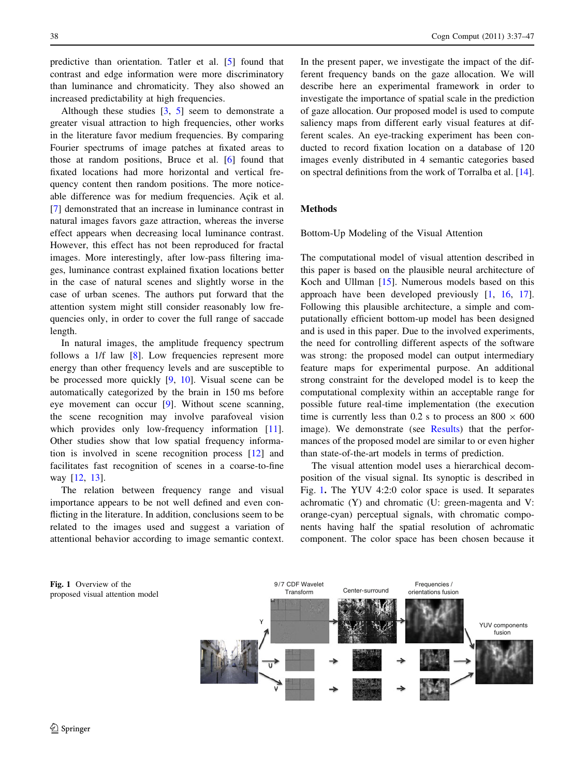<span id="page-1-0"></span>predictive than orientation. Tatler et al. [[5\]](#page-9-0) found that contrast and edge information were more discriminatory than luminance and chromaticity. They also showed an increased predictability at high frequencies.

Although these studies  $\begin{bmatrix} 3 \\ 5 \end{bmatrix}$  $\begin{bmatrix} 3 \\ 5 \end{bmatrix}$  $\begin{bmatrix} 3 \\ 5 \end{bmatrix}$  seem to demonstrate a greater visual attraction to high frequencies, other works in the literature favor medium frequencies. By comparing Fourier spectrums of image patches at fixated areas to those at random positions, Bruce et al. [\[6](#page-9-0)] found that fixated locations had more horizontal and vertical frequency content then random positions. The more noticeable difference was for medium frequencies. Acik et al. [\[7](#page-9-0)] demonstrated that an increase in luminance contrast in natural images favors gaze attraction, whereas the inverse effect appears when decreasing local luminance contrast. However, this effect has not been reproduced for fractal images. More interestingly, after low-pass filtering images, luminance contrast explained fixation locations better in the case of natural scenes and slightly worse in the case of urban scenes. The authors put forward that the attention system might still consider reasonably low frequencies only, in order to cover the full range of saccade length.

In natural images, the amplitude frequency spectrum follows a 1/f law [\[8](#page-9-0)]. Low frequencies represent more energy than other frequency levels and are susceptible to be processed more quickly [[9,](#page-9-0) [10\]](#page-9-0). Visual scene can be automatically categorized by the brain in 150 ms before eye movement can occur [[9\]](#page-9-0). Without scene scanning, the scene recognition may involve parafoveal vision which provides only low-frequency information [\[11](#page-10-0)]. Other studies show that low spatial frequency information is involved in scene recognition process [[12\]](#page-10-0) and facilitates fast recognition of scenes in a coarse-to-fine way [\[12](#page-10-0), [13\]](#page-10-0).

The relation between frequency range and visual importance appears to be not well defined and even conflicting in the literature. In addition, conclusions seem to be related to the images used and suggest a variation of attentional behavior according to image semantic context. In the present paper, we investigate the impact of the different frequency bands on the gaze allocation. We will describe here an experimental framework in order to investigate the importance of spatial scale in the prediction of gaze allocation. Our proposed model is used to compute saliency maps from different early visual features at different scales. An eye-tracking experiment has been conducted to record fixation location on a database of 120 images evenly distributed in 4 semantic categories based on spectral definitions from the work of Torralba et al. [\[14](#page-10-0)].

## Methods

Bottom-Up Modeling of the Visual Attention

The computational model of visual attention described in this paper is based on the plausible neural architecture of Koch and Ullman [[15\]](#page-10-0). Numerous models based on this approach have been developed previously [[1,](#page-9-0) [16](#page-10-0), [17](#page-10-0)]. Following this plausible architecture, a simple and computationally efficient bottom-up model has been designed and is used in this paper. Due to the involved experiments, the need for controlling different aspects of the software was strong: the proposed model can output intermediary feature maps for experimental purpose. An additional strong constraint for the developed model is to keep the computational complexity within an acceptable range for possible future real-time implementation (the execution time is currently less than 0.2 s to process an  $800 \times 600$ image). We demonstrate (see [Results](#page-4-0)) that the performances of the proposed model are similar to or even higher than state-of-the-art models in terms of prediction.

The visual attention model uses a hierarchical decomposition of the visual signal. Its synoptic is described in Fig. 1. The YUV 4:2:0 color space is used. It separates achromatic (Y) and chromatic (U: green-magenta and V: orange-cyan) perceptual signals, with chromatic components having half the spatial resolution of achromatic component. The color space has been chosen because it



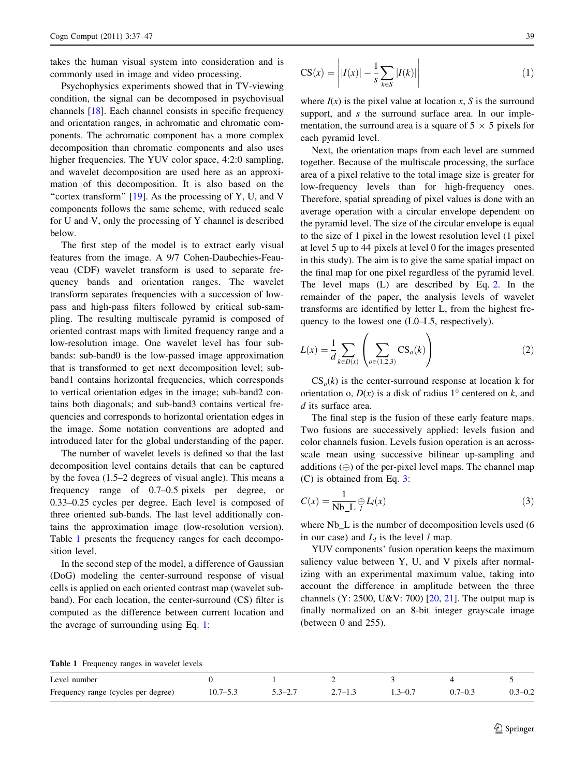takes the human visual system into consideration and is commonly used in image and video processing.

Psychophysics experiments showed that in TV-viewing condition, the signal can be decomposed in psychovisual channels [[18\]](#page-10-0). Each channel consists in specific frequency and orientation ranges, in achromatic and chromatic components. The achromatic component has a more complex decomposition than chromatic components and also uses higher frequencies. The YUV color space, 4:2:0 sampling, and wavelet decomposition are used here as an approximation of this decomposition. It is also based on the "cortex transform"  $[19]$  $[19]$ . As the processing of Y, U, and V components follows the same scheme, with reduced scale for U and V, only the processing of Y channel is described below.

The first step of the model is to extract early visual features from the image. A 9/7 Cohen-Daubechies-Feauveau (CDF) wavelet transform is used to separate frequency bands and orientation ranges. The wavelet transform separates frequencies with a succession of lowpass and high-pass filters followed by critical sub-sampling. The resulting multiscale pyramid is composed of oriented contrast maps with limited frequency range and a low-resolution image. One wavelet level has four subbands: sub-band0 is the low-passed image approximation that is transformed to get next decomposition level; subband1 contains horizontal frequencies, which corresponds to vertical orientation edges in the image; sub-band2 contains both diagonals; and sub-band3 contains vertical frequencies and corresponds to horizontal orientation edges in the image. Some notation conventions are adopted and introduced later for the global understanding of the paper.

The number of wavelet levels is defined so that the last decomposition level contains details that can be captured by the fovea (1.5–2 degrees of visual angle). This means a frequency range of 0.7–0.5 pixels per degree, or 0.33–0.25 cycles per degree. Each level is composed of three oriented sub-bands. The last level additionally contains the approximation image (low-resolution version). Table 1 presents the frequency ranges for each decomposition level.

In the second step of the model, a difference of Gaussian (DoG) modeling the center-surround response of visual cells is applied on each oriented contrast map (wavelet subband). For each location, the center-surround (CS) filter is computed as the difference between current location and the average of surrounding using Eq. 1:

$$
CS(x) = |I(x)| - \frac{1}{s} \sum_{k \in S} |I(k)|
$$
 (1)

where  $I(x)$  is the pixel value at location x, S is the surround support, and s the surround surface area. In our implementation, the surround area is a square of  $5 \times 5$  pixels for each pyramid level.

Next, the orientation maps from each level are summed together. Because of the multiscale processing, the surface area of a pixel relative to the total image size is greater for low-frequency levels than for high-frequency ones. Therefore, spatial spreading of pixel values is done with an average operation with a circular envelope dependent on the pyramid level. The size of the circular envelope is equal to the size of 1 pixel in the lowest resolution level (1 pixel at level 5 up to 44 pixels at level 0 for the images presented in this study). The aim is to give the same spatial impact on the final map for one pixel regardless of the pyramid level. The level maps (L) are described by Eq. 2. In the remainder of the paper, the analysis levels of wavelet transforms are identified by letter L, from the highest frequency to the lowest one (L0–L5, respectively).

$$
L(x) = \frac{1}{d} \sum_{k \in D(x)} \left( \sum_{o \in (1,2,3)} \text{CS}_o(k) \right)
$$
 (2)

 $CS<sub>o</sub>(k)$  is the center-surround response at location k for orientation o,  $D(x)$  is a disk of radius 1° centered on k, and d its surface area.

The final step is the fusion of these early feature maps. Two fusions are successively applied: levels fusion and color channels fusion. Levels fusion operation is an acrossscale mean using successive bilinear up-sampling and additions  $(\oplus)$  of the per-pixel level maps. The channel map (C) is obtained from Eq. 3:

$$
C(x) = \frac{1}{\text{Nb}\_\text{L}} \bigoplus_{l} L_l(x) \tag{3}
$$

where Nb\_L is the number of decomposition levels used (6 in our case) and  $L_l$  is the level l map.

YUV components' fusion operation keeps the maximum saliency value between Y, U, and V pixels after normalizing with an experimental maximum value, taking into account the difference in amplitude between the three channels (Y: 2500, U&V: 700) [\[20](#page-10-0), [21](#page-10-0)]. The output map is finally normalized on an 8-bit integer grayscale image (between 0 and 255).

Table 1 Frequency ranges in wavelet levels

| Level number                        |              |         |           |       |       |
|-------------------------------------|--------------|---------|-----------|-------|-------|
| Frequency range (cycles per degree) | $10.7 - 5.3$ | $7-1.3$ | $3 - 0.7$ | 7–0.3 | 3–0.2 |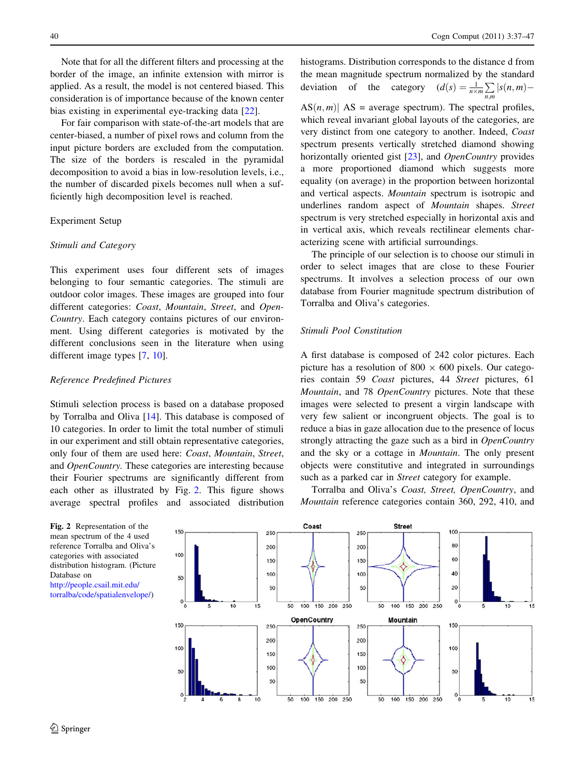Note that for all the different filters and processing at the border of the image, an infinite extension with mirror is applied. As a result, the model is not centered biased. This consideration is of importance because of the known center bias existing in experimental eye-tracking data [\[22](#page-10-0)].

For fair comparison with state-of-the-art models that are center-biased, a number of pixel rows and column from the input picture borders are excluded from the computation. The size of the borders is rescaled in the pyramidal decomposition to avoid a bias in low-resolution levels, i.e., the number of discarded pixels becomes null when a sufficiently high decomposition level is reached.

#### Experiment Setup

#### Stimuli and Category

This experiment uses four different sets of images belonging to four semantic categories. The stimuli are outdoor color images. These images are grouped into four different categories: Coast, Mountain, Street, and Open-Country. Each category contains pictures of our environment. Using different categories is motivated by the different conclusions seen in the literature when using different image types [\[7](#page-9-0), [10](#page-9-0)].

#### Reference Predefined Pictures

Stimuli selection process is based on a database proposed by Torralba and Oliva [[14\]](#page-10-0). This database is composed of 10 categories. In order to limit the total number of stimuli in our experiment and still obtain representative categories, only four of them are used here: Coast, Mountain, Street, and OpenCountry. These categories are interesting because their Fourier spectrums are significantly different from each other as illustrated by Fig. 2. This figure shows average spectral profiles and associated distribution

40 Cogn Comput (2011) 3:37–47

histograms. Distribution corresponds to the distance d from the mean magnitude spectrum normalized by the standard deviation of the category  $(d(s) = \frac{1}{n \times m})$  $\overline{C}$  $\sum_{n,m} |s(n,m) -$ AS $(n, m)$  AS = average spectrum). The spectral profiles, which reveal invariant global layouts of the categories, are

very distinct from one category to another. Indeed, Coast spectrum presents vertically stretched diamond showing horizontally oriented gist [\[23](#page-10-0)], and *OpenCountry* provides a more proportioned diamond which suggests more equality (on average) in the proportion between horizontal and vertical aspects. Mountain spectrum is isotropic and underlines random aspect of Mountain shapes. Street spectrum is very stretched especially in horizontal axis and in vertical axis, which reveals rectilinear elements characterizing scene with artificial surroundings.

The principle of our selection is to choose our stimuli in order to select images that are close to these Fourier spectrums. It involves a selection process of our own database from Fourier magnitude spectrum distribution of Torralba and Oliva's categories.

#### Stimuli Pool Constitution

A first database is composed of 242 color pictures. Each picture has a resolution of 800  $\times$  600 pixels. Our categories contain 59 Coast pictures, 44 Street pictures, 61 Mountain, and 78 OpenCountry pictures. Note that these images were selected to present a virgin landscape with very few salient or incongruent objects. The goal is to reduce a bias in gaze allocation due to the presence of locus strongly attracting the gaze such as a bird in OpenCountry and the sky or a cottage in Mountain. The only present objects were constitutive and integrated in surroundings such as a parked car in *Street* category for example.

Torralba and Oliva's Coast, Street, OpenCountry, and Mountain reference categories contain 360, 292, 410, and

Fig. 2 Representation of the mean spectrum of the 4 used reference Torralba and Oliva's categories with associated distribution histogram. (Picture Database on [http://people.csail.mit.edu/](http://people.csail.mit.edu/torralba/code/spatialenvelope/) [torralba/code/spatialenvelope/\)](http://people.csail.mit.edu/torralba/code/spatialenvelope/)

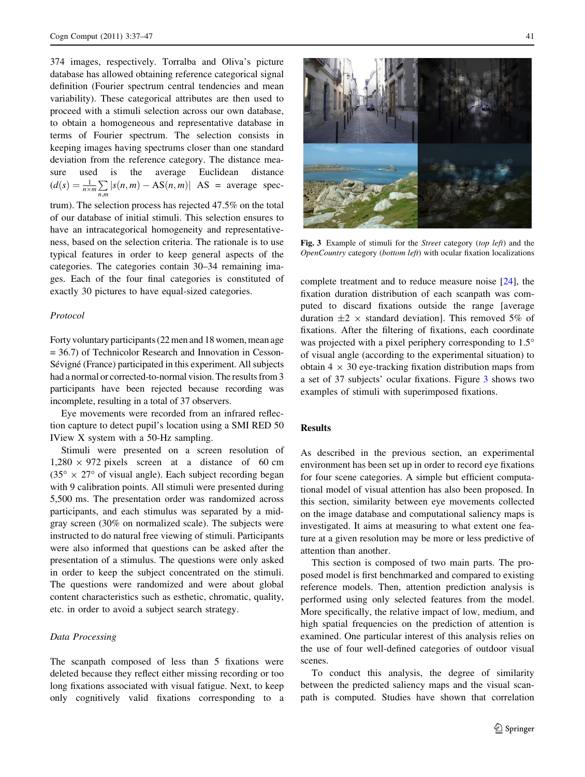<span id="page-4-0"></span>374 images, respectively. Torralba and Oliva's picture database has allowed obtaining reference categorical signal definition (Fourier spectrum central tendencies and mean variability). These categorical attributes are then used to proceed with a stimuli selection across our own database, to obtain a homogeneous and representative database in terms of Fourier spectrum. The selection consists in keeping images having spectrums closer than one standard deviation from the reference category. The distance measure used is the average Euclidean distance  $(d(s) = \frac{1}{n \times m})$  $\overline{a}$  $\sum_{n,m} |s(n,m) - AS(n,m)|$  AS = average spectrum). The selection process has rejected 47.5% on the total

of our database of initial stimuli. This selection ensures to have an intracategorical homogeneity and representativeness, based on the selection criteria. The rationale is to use typical features in order to keep general aspects of the categories. The categories contain 30–34 remaining images. Each of the four final categories is constituted of exactly 30 pictures to have equal-sized categories.

#### Protocol

Forty voluntary participants (22 men and 18 women, mean age = 36.7) of Technicolor Research and Innovation in Cesson-Sévigné (France) participated in this experiment. All subjects had a normal or corrected-to-normal vision. The results from 3 participants have been rejected because recording was incomplete, resulting in a total of 37 observers.

Eye movements were recorded from an infrared reflection capture to detect pupil's location using a SMI RED 50 IView X system with a 50-Hz sampling.

Stimuli were presented on a screen resolution of  $1,280 \times 972$  pixels screen at a distance of 60 cm  $(35^{\circ} \times 27^{\circ}$  of visual angle). Each subject recording began with 9 calibration points. All stimuli were presented during 5,500 ms. The presentation order was randomized across participants, and each stimulus was separated by a midgray screen (30% on normalized scale). The subjects were instructed to do natural free viewing of stimuli. Participants were also informed that questions can be asked after the presentation of a stimulus. The questions were only asked in order to keep the subject concentrated on the stimuli. The questions were randomized and were about global content characteristics such as esthetic, chromatic, quality, etc. in order to avoid a subject search strategy.

## Data Processing

The scanpath composed of less than 5 fixations were deleted because they reflect either missing recording or too long fixations associated with visual fatigue. Next, to keep only cognitively valid fixations corresponding to a



Fig. 3 Example of stimuli for the *Street* category (top left) and the OpenCountry category (bottom left) with ocular fixation localizations

complete treatment and to reduce measure noise [[24\]](#page-10-0), the fixation duration distribution of each scanpath was computed to discard fixations outside the range [average duration  $\pm 2 \times$  standard deviation]. This removed 5% of fixations. After the filtering of fixations, each coordinate was projected with a pixel periphery corresponding to 1.5° of visual angle (according to the experimental situation) to obtain  $4 \times 30$  eye-tracking fixation distribution maps from a set of 37 subjects' ocular fixations. Figure 3 shows two examples of stimuli with superimposed fixations.

## Results

As described in the previous section, an experimental environment has been set up in order to record eye fixations for four scene categories. A simple but efficient computational model of visual attention has also been proposed. In this section, similarity between eye movements collected on the image database and computational saliency maps is investigated. It aims at measuring to what extent one feature at a given resolution may be more or less predictive of attention than another.

This section is composed of two main parts. The proposed model is first benchmarked and compared to existing reference models. Then, attention prediction analysis is performed using only selected features from the model. More specifically, the relative impact of low, medium, and high spatial frequencies on the prediction of attention is examined. One particular interest of this analysis relies on the use of four well-defined categories of outdoor visual scenes.

To conduct this analysis, the degree of similarity between the predicted saliency maps and the visual scanpath is computed. Studies have shown that correlation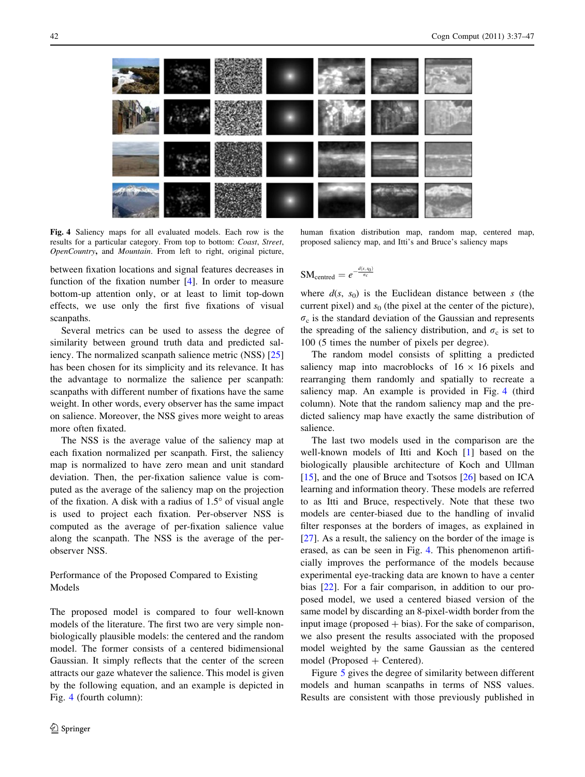

Fig. 4 Saliency maps for all evaluated models. Each row is the results for a particular category. From top to bottom: Coast, Street, OpenCountry, and Mountain. From left to right, original picture,

between fixation locations and signal features decreases in function of the fixation number [[4\]](#page-9-0). In order to measure bottom-up attention only, or at least to limit top-down effects, we use only the first five fixations of visual scanpaths.

Several metrics can be used to assess the degree of similarity between ground truth data and predicted saliency. The normalized scanpath salience metric (NSS) [[25\]](#page-10-0) has been chosen for its simplicity and its relevance. It has the advantage to normalize the salience per scanpath: scanpaths with different number of fixations have the same weight. In other words, every observer has the same impact on salience. Moreover, the NSS gives more weight to areas more often fixated.

The NSS is the average value of the saliency map at each fixation normalized per scanpath. First, the saliency map is normalized to have zero mean and unit standard deviation. Then, the per-fixation salience value is computed as the average of the saliency map on the projection of the fixation. A disk with a radius of  $1.5^{\circ}$  of visual angle is used to project each fixation. Per-observer NSS is computed as the average of per-fixation salience value along the scanpath. The NSS is the average of the perobserver NSS.

Performance of the Proposed Compared to Existing Models

The proposed model is compared to four well-known models of the literature. The first two are very simple nonbiologically plausible models: the centered and the random model. The former consists of a centered bidimensional Gaussian. It simply reflects that the center of the screen attracts our gaze whatever the salience. This model is given by the following equation, and an example is depicted in Fig. 4 (fourth column):

human fixation distribution map, random map, centered map, proposed saliency map, and Itti's and Bruce's saliency maps

$$
SM_{\text{centred}} = e^{-\frac{d(s, s_0)}{\sigma_c}}
$$

where  $d(s, s_0)$  is the Euclidean distance between s (the current pixel) and  $s_0$  (the pixel at the center of the picture),  $\sigma_c$  is the standard deviation of the Gaussian and represents the spreading of the saliency distribution, and  $\sigma_c$  is set to 100 (5 times the number of pixels per degree).

The random model consists of splitting a predicted saliency map into macroblocks of  $16 \times 16$  pixels and rearranging them randomly and spatially to recreate a saliency map. An example is provided in Fig. 4 (third column). Note that the random saliency map and the predicted saliency map have exactly the same distribution of salience.

The last two models used in the comparison are the well-known models of Itti and Koch [[1\]](#page-9-0) based on the biologically plausible architecture of Koch and Ullman [\[15](#page-10-0)], and the one of Bruce and Tsotsos [[26\]](#page-10-0) based on ICA learning and information theory. These models are referred to as Itti and Bruce, respectively. Note that these two models are center-biased due to the handling of invalid filter responses at the borders of images, as explained in [\[27](#page-10-0)]. As a result, the saliency on the border of the image is erased, as can be seen in Fig. 4. This phenomenon artificially improves the performance of the models because experimental eye-tracking data are known to have a center bias [[22\]](#page-10-0). For a fair comparison, in addition to our proposed model, we used a centered biased version of the same model by discarding an 8-pixel-width border from the input image (proposed  $+$  bias). For the sake of comparison, we also present the results associated with the proposed model weighted by the same Gaussian as the centered model (Proposed  $+$  Centered).

Figure [5](#page-6-0) gives the degree of similarity between different models and human scanpaths in terms of NSS values. Results are consistent with those previously published in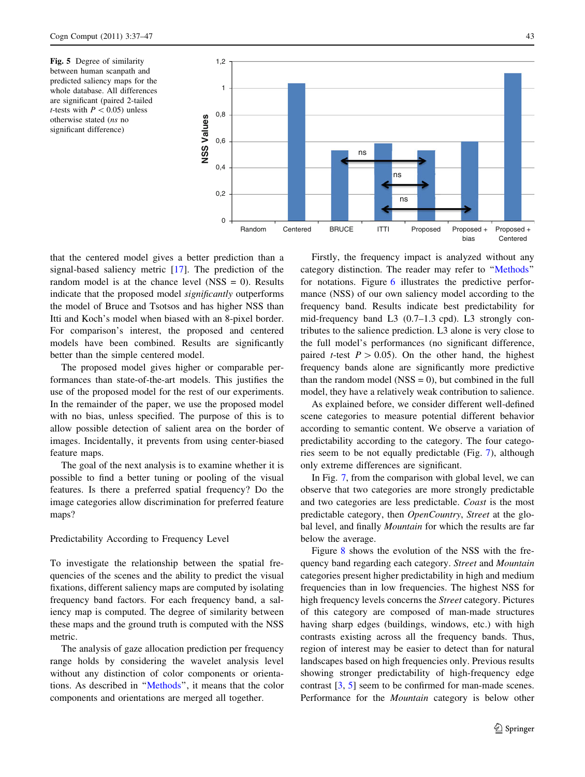<span id="page-6-0"></span>Fig. 5 Degree of similarity between human scanpath and predicted saliency maps for the whole database. All differences are significant (paired 2-tailed *t*-tests with  $P < 0.05$ ) unless otherwise stated (ns no significant difference)



that the centered model gives a better prediction than a signal-based saliency metric [\[17](#page-10-0)]. The prediction of the random model is at the chance level  $(NSS = 0)$ . Results indicate that the proposed model significantly outperforms the model of Bruce and Tsotsos and has higher NSS than Itti and Koch's model when biased with an 8-pixel border. For comparison's interest, the proposed and centered models have been combined. Results are significantly better than the simple centered model.

The proposed model gives higher or comparable performances than state-of-the-art models. This justifies the use of the proposed model for the rest of our experiments. In the remainder of the paper, we use the proposed model with no bias, unless specified. The purpose of this is to allow possible detection of salient area on the border of images. Incidentally, it prevents from using center-biased feature maps.

The goal of the next analysis is to examine whether it is possible to find a better tuning or pooling of the visual features. Is there a preferred spatial frequency? Do the image categories allow discrimination for preferred feature maps?

#### Predictability According to Frequency Level

To investigate the relationship between the spatial frequencies of the scenes and the ability to predict the visual fixations, different saliency maps are computed by isolating frequency band factors. For each frequency band, a saliency map is computed. The degree of similarity between these maps and the ground truth is computed with the NSS metric.

The analysis of gaze allocation prediction per frequency range holds by considering the wavelet analysis level without any distinction of color components or orientations. As described in ''[Methods'](#page-1-0)', it means that the color components and orientations are merged all together.

Firstly, the frequency impact is analyzed without any category distinction. The reader may refer to ''[Methods'](#page-1-0)' for notations. Figure [6](#page-7-0) illustrates the predictive performance (NSS) of our own saliency model according to the frequency band. Results indicate best predictability for mid-frequency band L3 (0.7–1.3 cpd). L3 strongly contributes to the salience prediction. L3 alone is very close to the full model's performances (no significant difference, paired *t*-test  $P > 0.05$ . On the other hand, the highest frequency bands alone are significantly more predictive than the random model ( $NSS = 0$ ), but combined in the full model, they have a relatively weak contribution to salience.

As explained before, we consider different well-defined scene categories to measure potential different behavior according to semantic content. We observe a variation of predictability according to the category. The four categories seem to be not equally predictable (Fig. [7\)](#page-7-0), although only extreme differences are significant.

In Fig. [7](#page-7-0), from the comparison with global level, we can observe that two categories are more strongly predictable and two categories are less predictable. Coast is the most predictable category, then OpenCountry, Street at the global level, and finally Mountain for which the results are far below the average.

Figure [8](#page-8-0) shows the evolution of the NSS with the frequency band regarding each category. Street and Mountain categories present higher predictability in high and medium frequencies than in low frequencies. The highest NSS for high frequency levels concerns the Street category. Pictures of this category are composed of man-made structures having sharp edges (buildings, windows, etc.) with high contrasts existing across all the frequency bands. Thus, region of interest may be easier to detect than for natural landscapes based on high frequencies only. Previous results showing stronger predictability of high-frequency edge contrast [\[3](#page-9-0), [5](#page-9-0)] seem to be confirmed for man-made scenes. Performance for the Mountain category is below other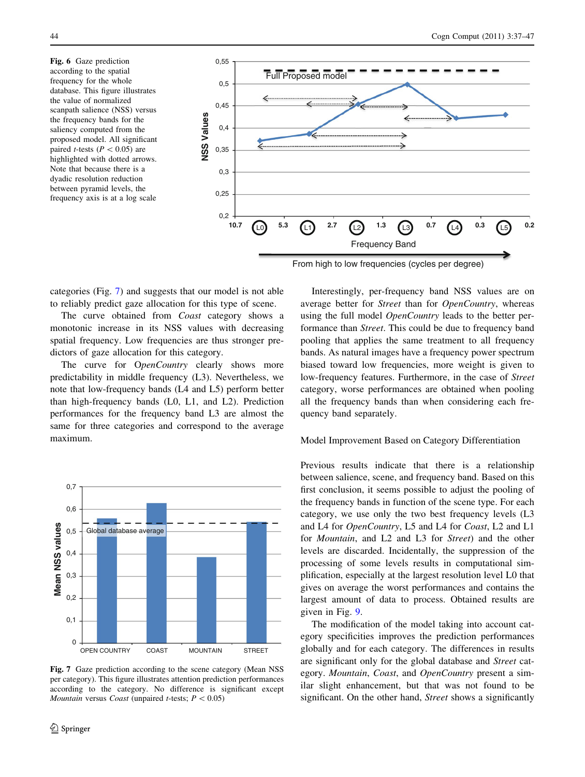Fig. 6 Gaze prediction according to the spatial frequency for the whole database. This figure illustrates the value of normalized scanpath salience (NSS) versus the frequency bands for the saliency computed from the proposed model. All significant paired *t*-tests ( $P < 0.05$ ) are highlighted with dotted arrows. Note that because there is a dyadic resolution reduction between pyramid levels, the frequency axis is at a log scale

<span id="page-7-0"></span>



From high to low frequencies (cycles per degree)

categories (Fig. 7) and suggests that our model is not able to reliably predict gaze allocation for this type of scene.

The curve obtained from *Coast* category shows a monotonic increase in its NSS values with decreasing spatial frequency. Low frequencies are thus stronger predictors of gaze allocation for this category.

The curve for OpenCountry clearly shows more predictability in middle frequency (L3). Nevertheless, we note that low-frequency bands (L4 and L5) perform better than high-frequency bands (L0, L1, and L2). Prediction performances for the frequency band L3 are almost the same for three categories and correspond to the average maximum.



Fig. 7 Gaze prediction according to the scene category (Mean NSS per category). This figure illustrates attention prediction performances according to the category. No difference is significant except Mountain versus *Coast* (unpaired *t*-tests;  $P < 0.05$ )

Interestingly, per-frequency band NSS values are on average better for Street than for OpenCountry, whereas using the full model *OpenCountry* leads to the better performance than Street. This could be due to frequency band pooling that applies the same treatment to all frequency bands. As natural images have a frequency power spectrum biased toward low frequencies, more weight is given to low-frequency features. Furthermore, in the case of Street category, worse performances are obtained when pooling all the frequency bands than when considering each frequency band separately.

### Model Improvement Based on Category Differentiation

Previous results indicate that there is a relationship between salience, scene, and frequency band. Based on this first conclusion, it seems possible to adjust the pooling of the frequency bands in function of the scene type. For each category, we use only the two best frequency levels (L3 and L4 for OpenCountry, L5 and L4 for Coast, L2 and L1 for Mountain, and L2 and L3 for Street) and the other levels are discarded. Incidentally, the suppression of the processing of some levels results in computational simplification, especially at the largest resolution level L0 that gives on average the worst performances and contains the largest amount of data to process. Obtained results are given in Fig. [9.](#page-8-0)

The modification of the model taking into account category specificities improves the prediction performances globally and for each category. The differences in results are significant only for the global database and Street category. Mountain, Coast, and OpenCountry present a similar slight enhancement, but that was not found to be significant. On the other hand, *Street* shows a significantly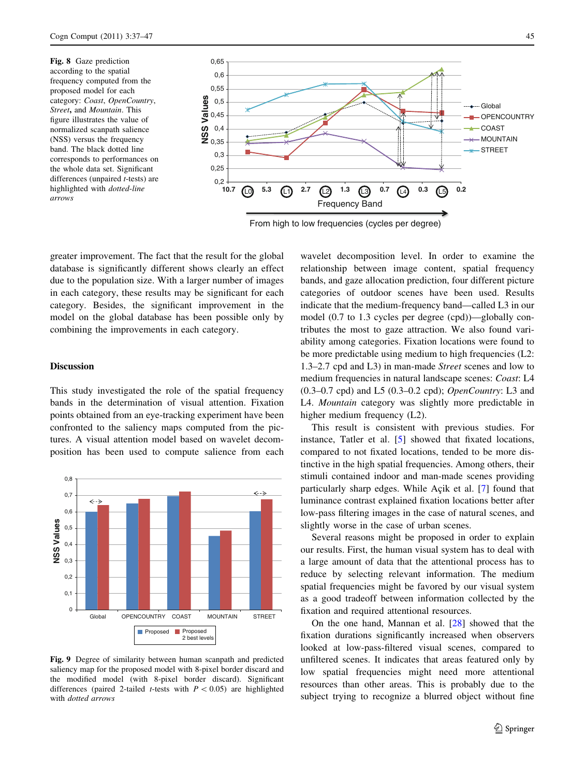<span id="page-8-0"></span>Fig. 8 Gaze prediction according to the spatial frequency computed from the proposed model for each category: Coast, OpenCountry, Street, and Mountain. This figure illustrates the value of normalized scanpath salience (NSS) versus the frequency band. The black dotted line corresponds to performances on the whole data set. Significant differences (unpaired *t*-tests) are highlighted with dotted-line arrows



From high to low frequencies (cycles per degree)

greater improvement. The fact that the result for the global database is significantly different shows clearly an effect due to the population size. With a larger number of images in each category, these results may be significant for each category. Besides, the significant improvement in the model on the global database has been possible only by combining the improvements in each category.

#### **Discussion**

This study investigated the role of the spatial frequency bands in the determination of visual attention. Fixation points obtained from an eye-tracking experiment have been confronted to the saliency maps computed from the pictures. A visual attention model based on wavelet decomposition has been used to compute salience from each



Fig. 9 Degree of similarity between human scanpath and predicted saliency map for the proposed model with 8-pixel border discard and the modified model (with 8-pixel border discard). Significant differences (paired 2-tailed *t*-tests with  $P < 0.05$ ) are highlighted with dotted arrows

wavelet decomposition level. In order to examine the relationship between image content, spatial frequency bands, and gaze allocation prediction, four different picture categories of outdoor scenes have been used. Results indicate that the medium-frequency band—called L3 in our model (0.7 to 1.3 cycles per degree (cpd))—globally contributes the most to gaze attraction. We also found variability among categories. Fixation locations were found to be more predictable using medium to high frequencies (L2: 1.3–2.7 cpd and L3) in man-made Street scenes and low to medium frequencies in natural landscape scenes: Coast: L4 (0.3–0.7 cpd) and L5 (0.3–0.2 cpd); OpenCountry: L3 and L4. Mountain category was slightly more predictable in higher medium frequency (L2).

This result is consistent with previous studies. For instance, Tatler et al. [\[5](#page-9-0)] showed that fixated locations, compared to not fixated locations, tended to be more distinctive in the high spatial frequencies. Among others, their stimuli contained indoor and man-made scenes providing particularly sharp edges. While Acik et al. [\[7](#page-9-0)] found that luminance contrast explained fixation locations better after low-pass filtering images in the case of natural scenes, and slightly worse in the case of urban scenes.

Several reasons might be proposed in order to explain our results. First, the human visual system has to deal with a large amount of data that the attentional process has to reduce by selecting relevant information. The medium spatial frequencies might be favored by our visual system as a good tradeoff between information collected by the fixation and required attentional resources.

On the one hand, Mannan et al. [[28\]](#page-10-0) showed that the fixation durations significantly increased when observers looked at low-pass-filtered visual scenes, compared to unfiltered scenes. It indicates that areas featured only by low spatial frequencies might need more attentional resources than other areas. This is probably due to the subject trying to recognize a blurred object without fine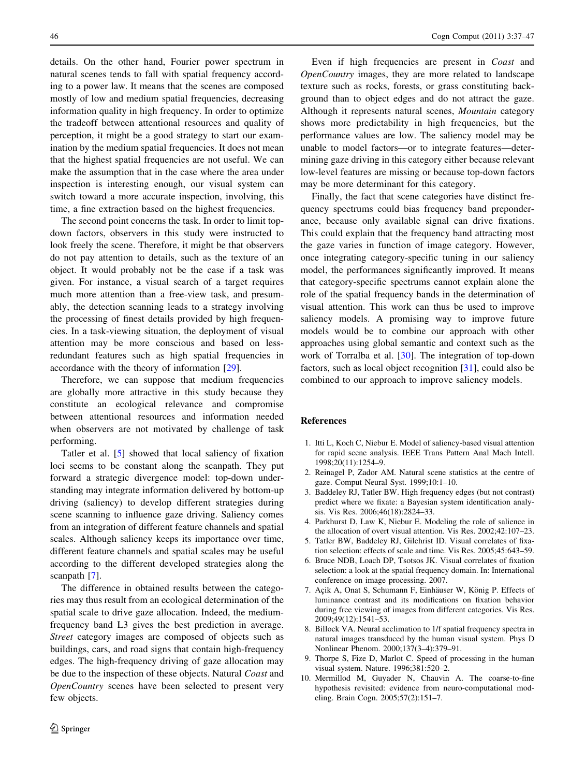<span id="page-9-0"></span>details. On the other hand, Fourier power spectrum in natural scenes tends to fall with spatial frequency according to a power law. It means that the scenes are composed mostly of low and medium spatial frequencies, decreasing information quality in high frequency. In order to optimize the tradeoff between attentional resources and quality of perception, it might be a good strategy to start our examination by the medium spatial frequencies. It does not mean that the highest spatial frequencies are not useful. We can make the assumption that in the case where the area under inspection is interesting enough, our visual system can switch toward a more accurate inspection, involving, this time, a fine extraction based on the highest frequencies.

The second point concerns the task. In order to limit topdown factors, observers in this study were instructed to look freely the scene. Therefore, it might be that observers do not pay attention to details, such as the texture of an object. It would probably not be the case if a task was given. For instance, a visual search of a target requires much more attention than a free-view task, and presumably, the detection scanning leads to a strategy involving the processing of finest details provided by high frequencies. In a task-viewing situation, the deployment of visual attention may be more conscious and based on lessredundant features such as high spatial frequencies in accordance with the theory of information [[29\]](#page-10-0).

Therefore, we can suppose that medium frequencies are globally more attractive in this study because they constitute an ecological relevance and compromise between attentional resources and information needed when observers are not motivated by challenge of task performing.

Tatler et al. [5] showed that local saliency of fixation loci seems to be constant along the scanpath. They put forward a strategic divergence model: top-down understanding may integrate information delivered by bottom-up driving (saliency) to develop different strategies during scene scanning to influence gaze driving. Saliency comes from an integration of different feature channels and spatial scales. Although saliency keeps its importance over time, different feature channels and spatial scales may be useful according to the different developed strategies along the scanpath [7].

The difference in obtained results between the categories may thus result from an ecological determination of the spatial scale to drive gaze allocation. Indeed, the mediumfrequency band L3 gives the best prediction in average. Street category images are composed of objects such as buildings, cars, and road signs that contain high-frequency edges. The high-frequency driving of gaze allocation may be due to the inspection of these objects. Natural Coast and OpenCountry scenes have been selected to present very few objects.

Even if high frequencies are present in *Coast* and OpenCountry images, they are more related to landscape texture such as rocks, forests, or grass constituting background than to object edges and do not attract the gaze. Although it represents natural scenes, Mountain category shows more predictability in high frequencies, but the performance values are low. The saliency model may be unable to model factors—or to integrate features—determining gaze driving in this category either because relevant low-level features are missing or because top-down factors may be more determinant for this category.

Finally, the fact that scene categories have distinct frequency spectrums could bias frequency band preponderance, because only available signal can drive fixations. This could explain that the frequency band attracting most the gaze varies in function of image category. However, once integrating category-specific tuning in our saliency model, the performances significantly improved. It means that category-specific spectrums cannot explain alone the role of the spatial frequency bands in the determination of visual attention. This work can thus be used to improve saliency models. A promising way to improve future models would be to combine our approach with other approaches using global semantic and context such as the work of Torralba et al. [\[30](#page-10-0)]. The integration of top-down factors, such as local object recognition [\[31](#page-10-0)], could also be combined to our approach to improve saliency models.

#### References

- 1. Itti L, Koch C, Niebur E. Model of saliency-based visual attention for rapid scene analysis. IEEE Trans Pattern Anal Mach Intell. 1998;20(11):1254–9.
- 2. Reinagel P, Zador AM. Natural scene statistics at the centre of gaze. Comput Neural Syst. 1999;10:1–10.
- 3. Baddeley RJ, Tatler BW. High frequency edges (but not contrast) predict where we fixate: a Bayesian system identification analysis. Vis Res. 2006;46(18):2824–33.
- 4. Parkhurst D, Law K, Niebur E. Modeling the role of salience in the allocation of overt visual attention. Vis Res. 2002;42:107–23.
- 5. Tatler BW, Baddeley RJ, Gilchrist ID. Visual correlates of fixation selection: effects of scale and time. Vis Res. 2005;45:643–59.
- 6. Bruce NDB, Loach DP, Tsotsos JK. Visual correlates of fixation selection: a look at the spatial frequency domain. In: International conference on image processing. 2007.
- 7. Açik A, Onat S, Schumann F, Einhäuser W, König P. Effects of luminance contrast and its modifications on fixation behavior during free viewing of images from different categories. Vis Res. 2009;49(12):1541–53.
- 8. Billock VA. Neural acclimation to 1/f spatial frequency spectra in natural images transduced by the human visual system. Phys D Nonlinear Phenom. 2000;137(3–4):379–91.
- 9. Thorpe S, Fize D, Marlot C. Speed of processing in the human visual system. Nature. 1996;381:520–2.
- 10. Mermillod M, Guyader N, Chauvin A. The coarse-to-fine hypothesis revisited: evidence from neuro-computational modeling. Brain Cogn. 2005;57(2):151–7.